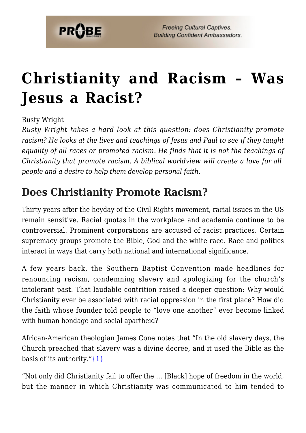

# **[Christianity and Racism – Was](https://probe.org/christianity-and-racism/) [Jesus a Racist?](https://probe.org/christianity-and-racism/)**

Rusty Wright

*Rusty Wright takes a hard look at this question: does Christianity promote racism? He looks at the lives and teachings of Jesus and Paul to see if they taught equality of all races or promoted racism. He finds that it is not the teachings of Christianity that promote racism. A biblical worldview will create a love for all people and a desire to help them develop personal faith.*

### **Does Christianity Promote Racism?**

Thirty years after the heyday of the Civil Rights movement, racial issues in the US remain sensitive. Racial quotas in the workplace and academia continue to be controversial. Prominent corporations are accused of racist practices. Certain supremacy groups promote the Bible, God and the white race. Race and politics interact in ways that carry both national and international significance.

A few years back, the Southern Baptist Convention made headlines for renouncing racism, condemning slavery and apologizing for the church's intolerant past. That laudable contrition raised a deeper question: Why would Christianity ever be associated with racial oppression in the first place? How did the faith whose founder told people to "love one another" ever become linked with human bondage and social apartheid?

African-American theologian James Cone notes that "In the old slavery days, the Church preached that slavery was a divine decree, and it used the Bible as the basis of its authority." $\{1\}$ 

"Not only did Christianity fail to offer the … [Black] hope of freedom in the world, but the manner in which Christianity was communicated to him tended to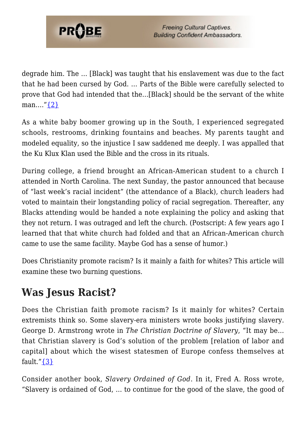

degrade him. The … [Black] was taught that his enslavement was due to the fact that he had been cursed by God. … Parts of the Bible were carefully selected to prove that God had intended that the…[Black] should be the servant of the white man….["{2}](#page-6-1)

As a white baby boomer growing up in the South, I experienced segregated schools, restrooms, drinking fountains and beaches. My parents taught and modeled equality, so the injustice I saw saddened me deeply. I was appalled that the Ku Klux Klan used the Bible and the cross in its rituals.

During college, a friend brought an African-American student to a church I attended in North Carolina. The next Sunday, the pastor announced that because of "last week's racial incident" (the attendance of a Black), church leaders had voted to maintain their longstanding policy of racial segregation. Thereafter, any Blacks attending would be handed a note explaining the policy and asking that they not return. I was outraged and left the church. (Postscript: A few years ago I learned that that white church had folded and that an African-American church came to use the same facility. Maybe God has a sense of humor.)

Does Christianity promote racism? Is it mainly a faith for whites? This article will examine these two burning questions.

## **Was Jesus Racist?**

Does the Christian faith promote racism? Is it mainly for whites? Certain extremists think so. Some slavery-era ministers wrote books justifying slavery. George D. Armstrong wrote in *The Christian Doctrine of Slavery*, "It may be… that Christian slavery is God's solution of the problem [relation of labor and capital] about which the wisest statesmen of Europe confess themselves at fault." $\{3\}$ 

Consider another book, *Slavery Ordained of God*. In it, Fred A. Ross wrote, "Slavery is ordained of God, … to continue for the good of the slave, the good of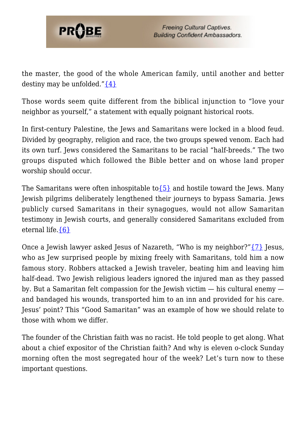

the master, the good of the whole American family, until another and better destiny may be unfolded." $\{4\}$ 

Those words seem quite different from the biblical injunction to "love your neighbor as yourself," a statement with equally poignant historical roots.

In first-century Palestine, the Jews and Samaritans were locked in a blood feud. Divided by geography, religion and race, the two groups spewed venom. Each had its own turf. Jews considered the Samaritans to be racial "half-breeds." The two groups disputed which followed the Bible better and on whose land proper worship should occur.

The Samaritans were often inhospitable to  $\{5\}$  and hostile toward the Jews. Many Jewish pilgrims deliberately lengthened their journeys to bypass Samaria. Jews publicly cursed Samaritans in their synagogues, would not allow Samaritan testimony in Jewish courts, and generally considered Samaritans excluded from eternal life.[{6}](#page-7-2)

Once a Jewish lawyer asked Jesus of Nazareth, "Who is my neighbor?["{7}](#page-7-3) Jesus, who as Jew surprised people by mixing freely with Samaritans, told him a now famous story. Robbers attacked a Jewish traveler, beating him and leaving him half-dead. Two Jewish religious leaders ignored the injured man as they passed by. But a Samaritan felt compassion for the Jewish victim — his cultural enemy and bandaged his wounds, transported him to an inn and provided for his care. Jesus' point? This "Good Samaritan" was an example of how we should relate to those with whom we differ.

The founder of the Christian faith was no racist. He told people to get along. What about a chief expositor of the Christian faith? And why is eleven o-clock Sunday morning often the most segregated hour of the week? Let's turn now to these important questions.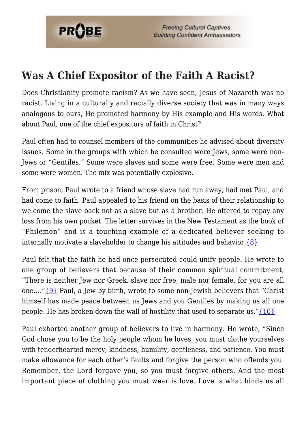

**Freeing Cultural Captives. Building Confident Ambassadors.** 

#### **Was A Chief Expositor of the Faith A Racist?**

Does Christianity promote racism? As we have seen, Jesus of Nazareth was no racist. Living in a culturally and racially diverse society that was in many ways analogous to ours, He promoted harmony by His example and His words. What about Paul, one of the chief expositors of faith in Christ?

Paul often had to counsel members of the communities he advised about diversity issues. Some in the groups with which he consulted were Jews, some were non-Jews or "Gentiles." Some were slaves and some were free. Some were men and some were women. The mix was potentially explosive.

From prison, Paul wrote to a friend whose slave had run away, had met Paul, and had come to faith. Paul appealed to his friend on the basis of their relationship to welcome the slave back not as a slave but as a brother. He offered to repay any loss from his own pocket. The letter survives in the New Testament as the book of "Philemon" and is a touching example of a dedicated believer seeking to internally motivate a slaveholder to change his attitudes and behavior. $\{8\}$ 

Paul felt that the faith he had once persecuted could unify people. He wrote to one group of believers that because of their common spiritual commitment, "There is neither Jew nor Greek, slave nor free, male nor female, for you are all one…."[{9}](#page-7-5) Paul, a Jew by birth, wrote to some non-Jewish believers that "Christ himself has made peace between us Jews and you Gentiles by making us all one people. He has broken down the wall of hostility that used to separate us." $\{10\}$ 

Paul exhorted another group of believers to live in harmony. He wrote, "Since God chose you to be the holy people whom he loves, you must clothe yourselves with tenderhearted mercy, kindness, humility, gentleness, and patience. You must make allowance for each other's faults and forgive the person who offends you. Remember, the Lord forgave you, so you must forgive others. And the most important piece of clothing you must wear is love. Love is what binds us all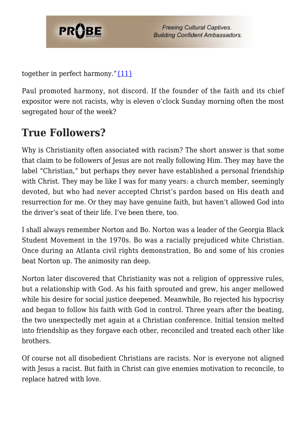

together in perfect harmony." $\{11\}$ 

Paul promoted harmony, not discord. If the founder of the faith and its chief expositor were not racists, why is eleven o'clock Sunday morning often the most segregated hour of the week?

### **True Followers?**

Why is Christianity often associated with racism? The short answer is that some that claim to be followers of Jesus are not really following Him. They may have the label "Christian," but perhaps they never have established a personal friendship with Christ. They may be like I was for many years: a church member, seemingly devoted, but who had never accepted Christ's pardon based on His death and resurrection for me. Or they may have genuine faith, but haven't allowed God into the driver's seat of their life. I've been there, too.

I shall always remember Norton and Bo. Norton was a leader of the Georgia Black Student Movement in the 1970s. Bo was a racially prejudiced white Christian. Once during an Atlanta civil rights demonstration, Bo and some of his cronies beat Norton up. The animosity ran deep.

Norton later discovered that Christianity was not a religion of oppressive rules, but a relationship with God. As his faith sprouted and grew, his anger mellowed while his desire for social justice deepened. Meanwhile, Bo rejected his hypocrisy and began to follow his faith with God in control. Three years after the beating, the two unexpectedly met again at a Christian conference. Initial tension melted into friendship as they forgave each other, reconciled and treated each other like brothers.

Of course not all disobedient Christians are racists. Nor is everyone not aligned with Jesus a racist. But faith in Christ can give enemies motivation to reconcile, to replace hatred with love.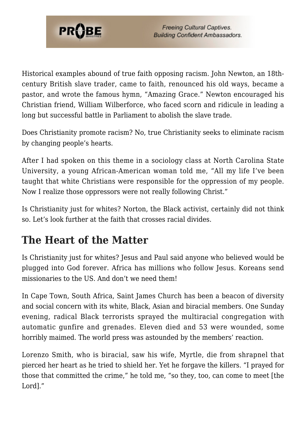

Historical examples abound of true faith opposing racism. John Newton, an 18thcentury British slave trader, came to faith, renounced his old ways, became a pastor, and wrote the famous hymn, "Amazing Grace." Newton encouraged his Christian friend, William Wilberforce, who faced scorn and ridicule in leading a long but successful battle in Parliament to abolish the slave trade.

Does Christianity promote racism? No, true Christianity seeks to eliminate racism by changing people's hearts.

After I had spoken on this theme in a sociology class at North Carolina State University, a young African-American woman told me, "All my life I've been taught that white Christians were responsible for the oppression of my people. Now I realize those oppressors were not really following Christ."

Is Christianity just for whites? Norton, the Black activist, certainly did not think so. Let's look further at the faith that crosses racial divides.

#### **The Heart of the Matter**

Is Christianity just for whites? Jesus and Paul said anyone who believed would be plugged into God forever. Africa has millions who follow Jesus. Koreans send missionaries to the US. And don't we need them!

In Cape Town, South Africa, Saint James Church has been a beacon of diversity and social concern with its white, Black, Asian and biracial members. One Sunday evening, radical Black terrorists sprayed the multiracial congregation with automatic gunfire and grenades. Eleven died and 53 were wounded, some horribly maimed. The world press was astounded by the members' reaction.

Lorenzo Smith, who is biracial, saw his wife, Myrtle, die from shrapnel that pierced her heart as he tried to shield her. Yet he forgave the killers. "I prayed for those that committed the crime," he told me, "so they, too, can come to meet [the Lord]."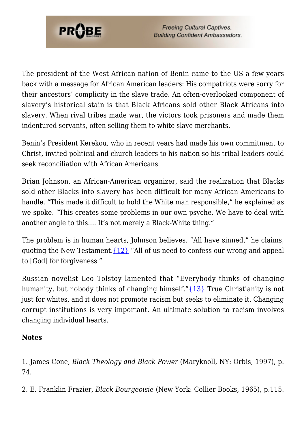

The president of the West African nation of Benin came to the US a few years back with a message for African American leaders: His compatriots were sorry for their ancestors' complicity in the slave trade. An often-overlooked component of slavery's historical stain is that Black Africans sold other Black Africans into slavery. When rival tribes made war, the victors took prisoners and made them indentured servants, often selling them to white slave merchants.

Benin's President Kerekou, who in recent years had made his own commitment to Christ, invited political and church leaders to his nation so his tribal leaders could seek reconciliation with African Americans.

Brian Johnson, an African-American organizer, said the realization that Blacks sold other Blacks into slavery has been difficult for many African Americans to handle. "This made it difficult to hold the White man responsible," he explained as we spoke. "This creates some problems in our own psyche. We have to deal with another angle to this…. It's not merely a Black-White thing."

The problem is in human hearts, Johnson believes. "All have sinned," he claims, quoting the New Testament.[{12}](#page-7-8) "All of us need to confess our wrong and appeal to [God] for forgiveness."

Russian novelist Leo Tolstoy lamented that "Everybody thinks of changing humanity, but nobody thinks of changing himself." ${13}$  True Christianity is not just for whites, and it does not promote racism but seeks to eliminate it. Changing corrupt institutions is very important. An ultimate solution to racism involves changing individual hearts.

#### **Notes**

<span id="page-6-1"></span><span id="page-6-0"></span>1. James Cone, *Black Theology and Black Power* (Maryknoll, NY: Orbis, 1997), p. 74.

<span id="page-6-2"></span>2. E. Franklin Frazier, *Black Bourgeoisie* (New York: Collier Books, 1965), p.115.